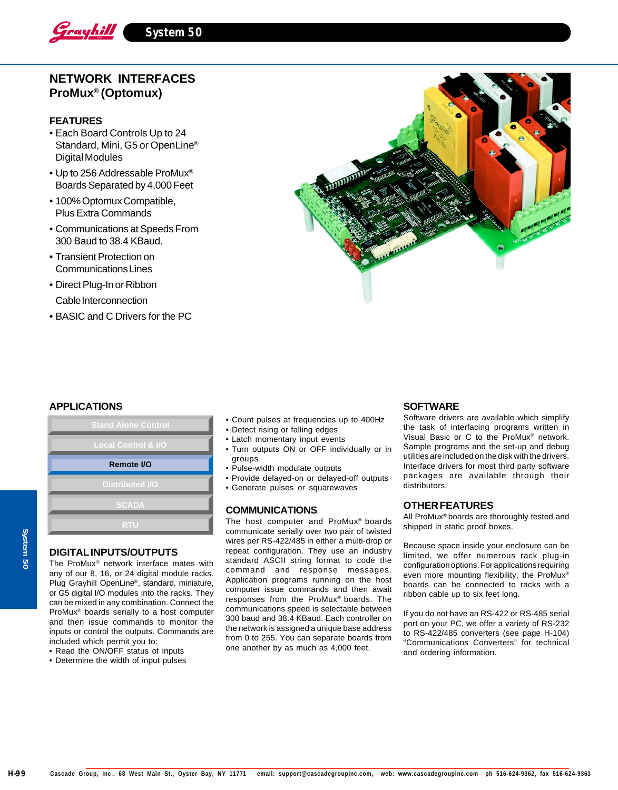

# **NETWORK INTERFACES ProMux® (Optomux)**

## **FEATURES**

- Each Board Controls Up to 24 Standard, Mini, G5 or OpenLine® Digital Modules
- Up to 256 Addressable ProMux® Boards Separated by 4,000 Feet
- 100% Optomux Compatible, Plus Extra Commands
- Communications at Speeds From 300 Baud to 38.4 KBaud.
- Transient Protection on Communications Lines
- Direct Plug-In or Ribbon Cable Interconnection
- BASIC and C Drivers for the PC



### **APPLICATIONS**



# **DIGITAL INPUTS/OUTPUTS**

The ProMux® network interface mates with any of our 8, 16, or 24 digital module racks. Plug Grayhill OpenLine®, standard, miniature, or G5 digital I/O modules into the racks. They can be mixed in any combination. Connect the ProMux® boards serially to a host computer and then issue commands to monitor the inputs or control the outputs. Commands are included which permit you to:

- Read the ON/OFF status of inputs
- Determine the width of input pulses
- Count pulses at frequencies up to 400Hz
- Detect rising or falling edges
- Latch momentary input events
- Turn outputs ON or OFF individually or in groups
- Pulse-width modulate outputs
- Provide delayed-on or delayed-off outputs
- Generate pulses or squarewaves

#### **COMMUNICATIONS**

The host computer and ProMux® boards communicate serially over two pair of twisted wires per RS-422/485 in either a multi-drop or repeat configuration. They use an industry standard ASCII string format to code the command and response messages. Application programs running on the host computer issue commands and then await responses from the ProMux® boards. The communications speed is selectable between 300 baud and 38.4 KBaud. Each controller on the network is assigned a unique base address from 0 to 255. You can separate boards from one another by as much as 4,000 feet.

## **SOFTWARE**

Software drivers are available which simplify the task of interfacing programs written in Visual Basic or C to the ProMux® network. Sample programs and the set-up and debug utilities are included on the disk with the drivers. Interface drivers for most third party software packages are available through their distributors.

### **OTHER FEATURES**

All ProMux® boards are thoroughly tested and shipped in static proof boxes.

Because space inside your enclosure can be limited, we offer numerous rack plug-in configuration options. For applications requiring even more mounting flexibility, the ProMux® boards can be connected to racks with a ribbon cable up to six feet long.

If you do not have an RS-422 or RS-485 serial port on your PC, we offer a variety of RS-232 to RS-422/485 converters (see page H-104) "Communications Converters" for technical and ordering information.